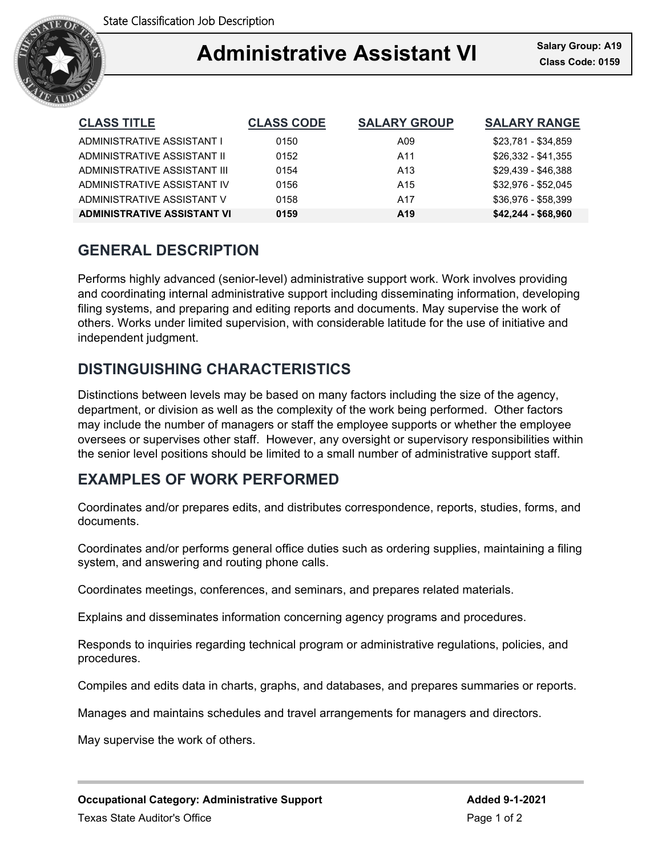

#### Ξ **Administrative Assistant VI Class Code: 0159**

| <b>CLASS TITLE</b>                 | <b>CLASS CODE</b> | <b>SALARY GROUP</b> | <b>SALARY RANGE</b> |
|------------------------------------|-------------------|---------------------|---------------------|
| ADMINISTRATIVE ASSISTANT I         | 0150              | A09                 | \$23.781 - \$34.859 |
| ADMINISTRATIVE ASSISTANT II        | 0152              | A11                 | \$26,332 - \$41,355 |
| ADMINISTRATIVE ASSISTANT III       | 0154              | A <sub>13</sub>     | \$29.439 - \$46.388 |
| ADMINISTRATIVE ASSISTANT IV        | 0156              | A <sub>15</sub>     | \$32.976 - \$52.045 |
| ADMINISTRATIVE ASSISTANT V         | 0158              | A17                 | \$36.976 - \$58.399 |
| <b>ADMINISTRATIVE ASSISTANT VI</b> | 0159              | A <sub>19</sub>     | \$42,244 - \$68,960 |

## **GENERAL DESCRIPTION**

Performs highly advanced (senior-level) administrative support work. Work involves providing and coordinating internal administrative support including disseminating information, developing filing systems, and preparing and editing reports and documents. May supervise the work of others. Works under limited supervision, with considerable latitude for the use of initiative and independent judgment.

# **DISTINGUISHING CHARACTERISTICS**

Distinctions between levels may be based on many factors including the size of the agency, department, or division as well as the complexity of the work being performed. Other factors may include the number of managers or staff the employee supports or whether the employee oversees or supervises other staff. However, any oversight or supervisory responsibilities within the senior level positions should be limited to a small number of administrative support staff.

## **EXAMPLES OF WORK PERFORMED**

Coordinates and/or prepares edits, and distributes correspondence, reports, studies, forms, and documents.

Coordinates and/or performs general office duties such as ordering supplies, maintaining a filing system, and answering and routing phone calls.

Coordinates meetings, conferences, and seminars, and prepares related materials.

Explains and disseminates information concerning agency programs and procedures.

Responds to inquiries regarding technical program or administrative regulations, policies, and procedures.

Compiles and edits data in charts, graphs, and databases, and prepares summaries or reports.

Manages and maintains schedules and travel arrangements for managers and directors.

May supervise the work of others.